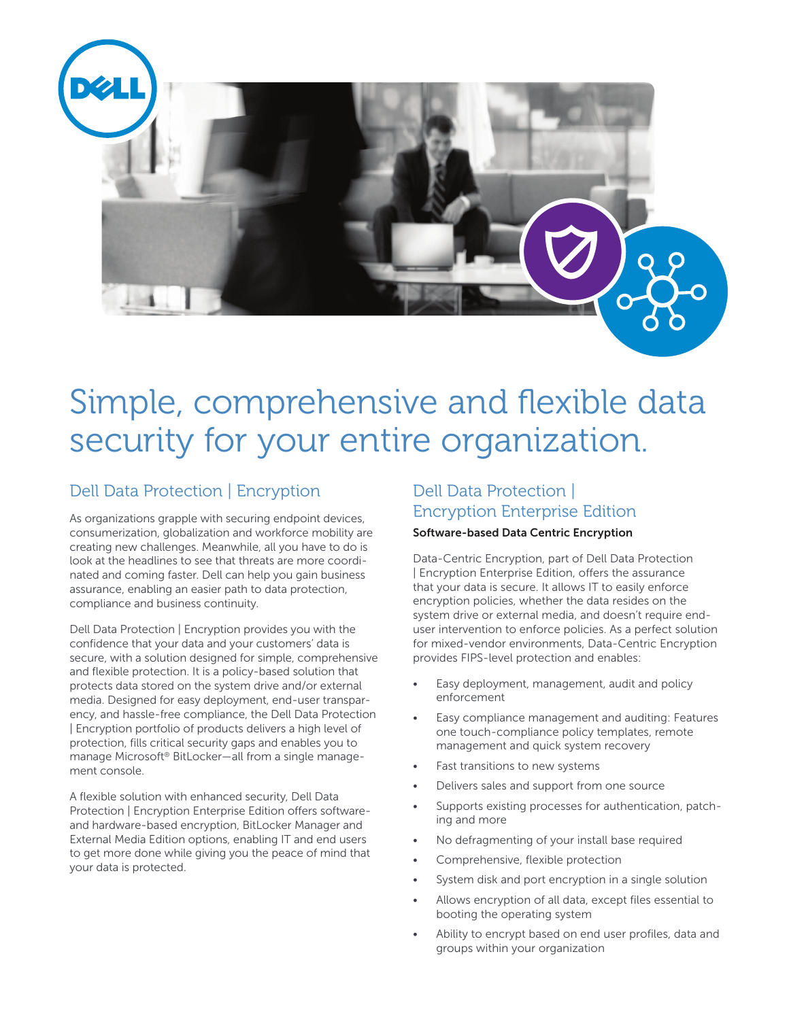

# Simple, comprehensive and flexible data security for your entire organization.

# Dell Data Protection | Encryption

As organizations grapple with securing endpoint devices, consumerization, globalization and workforce mobility are creating new challenges. Meanwhile, all you have to do is look at the headlines to see that threats are more coordinated and coming faster. Dell can help you gain business assurance, enabling an easier path to data protection, compliance and business continuity.

Dell Data Protection | Encryption provides you with the confidence that your data and your customers' data is secure, with a solution designed for simple, comprehensive and flexible protection. It is a policy-based solution that protects data stored on the system drive and/or external media. Designed for easy deployment, end-user transparency, and hassle-free compliance, the Dell Data Protection | Encryption portfolio of products delivers a high level of protection, fills critical security gaps and enables you to manage Microsoft® BitLocker—all from a single management console.

A flexible solution with enhanced security, Dell Data Protection | Encryption Enterprise Edition offers softwareand hardware-based encryption, BitLocker Manager and External Media Edition options, enabling IT and end users to get more done while giving you the peace of mind that your data is protected.

# Dell Data Protection | Encryption Enterprise Edition

#### Software-based Data Centric Encryption

Data-Centric Encryption, part of Dell Data Protection | Encryption Enterprise Edition, offers the assurance that your data is secure. It allows IT to easily enforce encryption policies, whether the data resides on the system drive or external media, and doesn't require enduser intervention to enforce policies. As a perfect solution for mixed-vendor environments, Data-Centric Encryption provides FIPS-level protection and enables:

- Easy deployment, management, audit and policy enforcement
- Easy compliance management and auditing: Features one touch-compliance policy templates, remote management and quick system recovery
- Fast transitions to new systems
- Delivers sales and support from one source
- Supports existing processes for authentication, patching and more
- No defragmenting of your install base required
- Comprehensive, flexible protection
- System disk and port encryption in a single solution
- Allows encryption of all data, except files essential to booting the operating system
- Ability to encrypt based on end user profiles, data and groups within your organization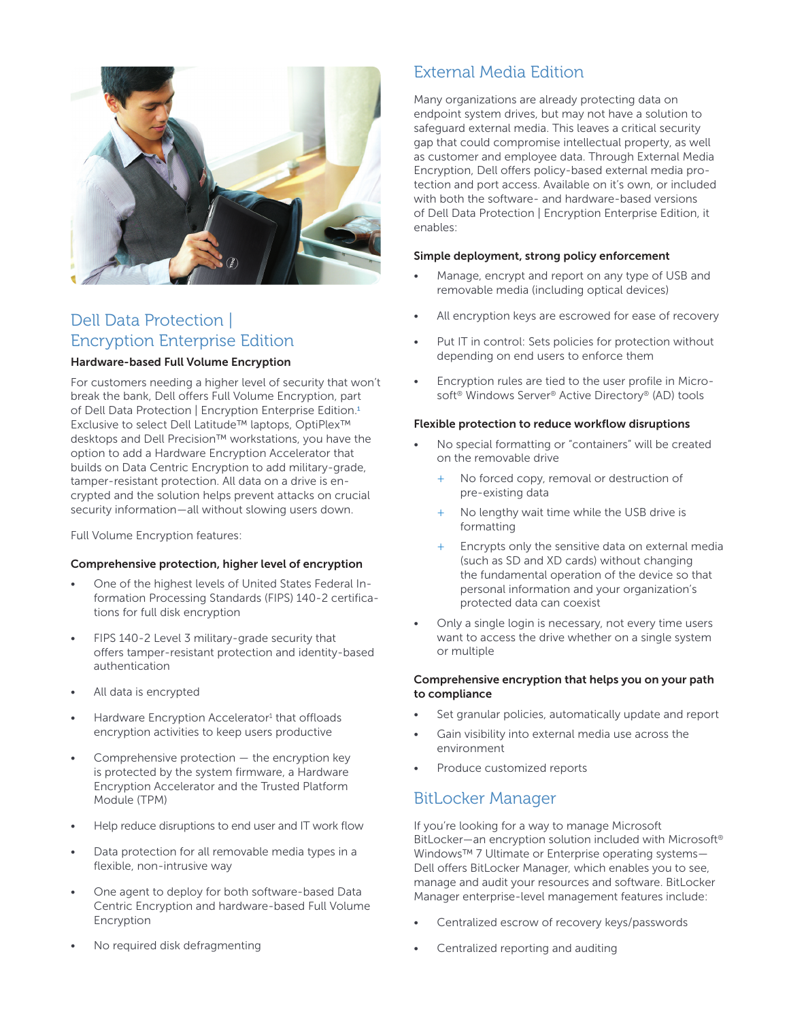

# Dell Data Protection | Encryption Enterprise Edition

#### Hardware-based Full Volume Encryption

For customers needing a higher level of security that won't break the bank, Dell offers Full Volume Encryption, part of Dell Data Protection | Encryption Enterprise Edition.<sup>1</sup> Exclusive to select Dell Latitude™ laptops, OptiPlex™ desktops and Dell Precision™ workstations, you have the option to add a Hardware Encryption Accelerator that builds on Data Centric Encryption to add military-grade, tamper-resistant protection. All data on a drive is encrypted and the solution helps prevent attacks on crucial security information—all without slowing users down.

Full Volume Encryption features:

#### Comprehensive protection, higher level of encryption

- One of the highest levels of United States Federal Information Processing Standards (FIPS) 140-2 certifications for full disk encryption
- FIPS 140-2 Level 3 military-grade security that offers tamper-resistant protection and identity-based authentication
- All data is encrypted
- Hardware Encryption Accelerator<sup>1</sup> that offloads encryption activities to keep users productive
- Comprehensive protection  $-$  the encryption key is protected by the system firmware, a Hardware Encryption Accelerator and the Trusted Platform Module (TPM)
- Help reduce disruptions to end user and IT work flow
- Data protection for all removable media types in a flexible, non-intrusive way
- One agent to deploy for both software-based Data Centric Encryption and hardware-based Full Volume Encryption
- No required disk defragmenting

# External Media Edition

Many organizations are already protecting data on endpoint system drives, but may not have a solution to safeguard external media. This leaves a critical security gap that could compromise intellectual property, as well as customer and employee data. Through External Media Encryption, Dell offers policy-based external media protection and port access. Available on it's own, or included with both the software- and hardware-based versions of Dell Data Protection | Encryption Enterprise Edition, it enables:

#### Simple deployment, strong policy enforcement

- Manage, encrypt and report on any type of USB and removable media (including optical devices)
- All encryption keys are escrowed for ease of recovery
- Put IT in control: Sets policies for protection without depending on end users to enforce them
- Encryption rules are tied to the user profile in Microsoft® Windows Server® Active Directory® (AD) tools

#### Flexible protection to reduce workflow disruptions

- No special formatting or "containers" will be created on the removable drive
	- No forced copy, removal or destruction of pre-existing data
	- + No lengthy wait time while the USB drive is formatting
	- + Encrypts only the sensitive data on external media (such as SD and XD cards) without changing the fundamental operation of the device so that personal information and your organization's protected data can coexist
- Only a single login is necessary, not every time users want to access the drive whether on a single system or multiple

#### Comprehensive encryption that helps you on your path to compliance

- Set granular policies, automatically update and report
- Gain visibility into external media use across the environment
- Produce customized reports

### BitLocker Manager

If you're looking for a way to manage Microsoft BitLocker—an encryption solution included with Microsoft® Windows™ 7 Ultimate or Enterprise operating systems— Dell offers BitLocker Manager, which enables you to see, manage and audit your resources and software. BitLocker Manager enterprise-level management features include:

- Centralized escrow of recovery keys/passwords
- Centralized reporting and auditing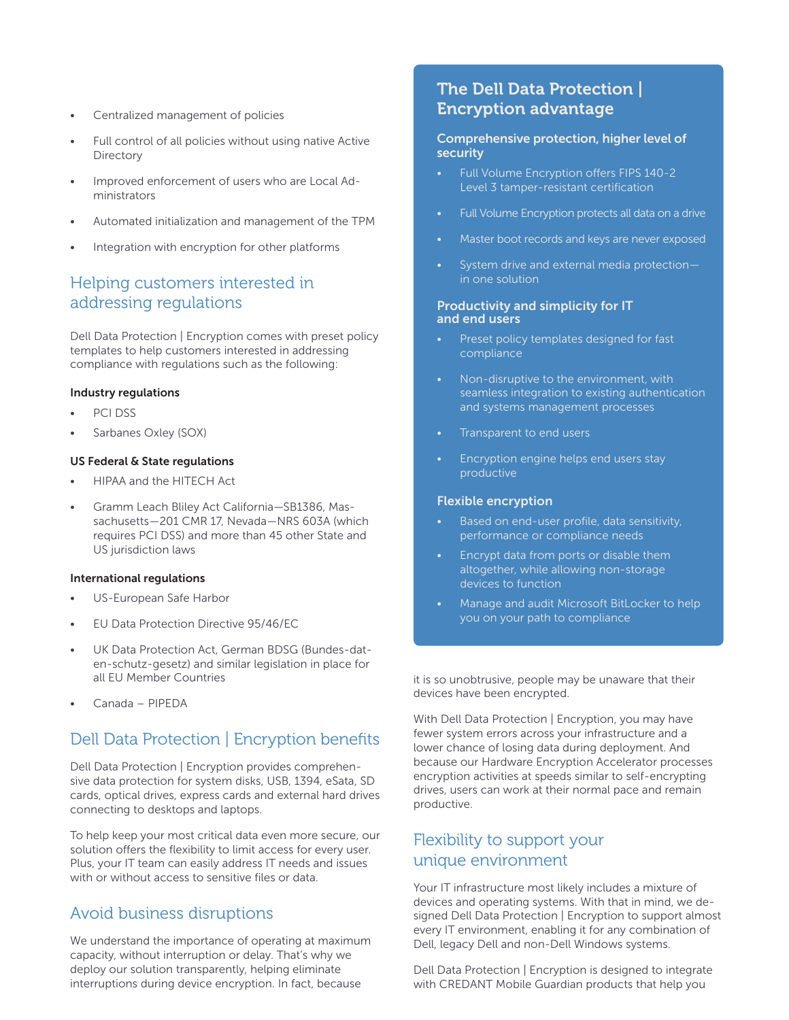- Centralized management of policies
- Full control of all policies without using native Active **Directory**
- Improved enforcement of users who are Local Administrators
- Automated initialization and management of the TPM
- Integration with encryption for other platforms

### Helping customers interested in addressing regulations

Dell Data Protection | Encryption comes with preset policy templates to help customers interested in addressing compliance with regulations such as the following:

#### Industry regulations

- PCI DSS
- Sarbanes Oxley (SOX)

#### US Federal & State regulations

- HIPAA and the HITECH Act
- Gramm Leach Bliley Act California—SB1386, Massachusetts—201 CMR 17, Nevada—NRS 603A (which requires PCI DSS) and more than 45 other State and US jurisdiction laws

#### International regulations

- US-European Safe Harbor
- EU Data Protection Directive 95/46/EC
- UK Data Protection Act, German BDSG (Bundes-daten-schutz-gesetz) and similar legislation in place for all EU Member Countries
- Canada PIPEDA

### Dell Data Protection | Encryption benefits

Dell Data Protection | Encryption provides comprehensive data protection for system disks, USB, 1394, eSata, SD cards, optical drives, express cards and external hard drives connecting to desktops and laptops.

To help keep your most critical data even more secure, our solution offers the flexibility to limit access for every user. Plus, your IT team can easily address IT needs and issues with or without access to sensitive files or data.

### Avoid business disruptions

We understand the importance of operating at maximum capacity, without interruption or delay. That's why we deploy our solution transparently, helping eliminate interruptions during device encryption. In fact, because

# The Dell Data Protection | Encryption advantage

#### Comprehensive protection, higher level of security

- Full Volume Encryption offers FIPS 140-2 Level 3 tamper-resistant certification
- Full Volume Encryption protects all data on a drive
- Master boot records and keys are never exposed
- System drive and external media protection in one solution

#### Productivity and simplicity for IT and end users

- Preset policy templates designed for fast compliance
- Non-disruptive to the environment, with seamless integration to existing authentication and systems management processes
- Transparent to end users
- Encryption engine helps end users stay productive

#### Flexible encryption

- Based on end-user profile, data sensitivity, performance or compliance needs
- Encrypt data from ports or disable them altogether, while allowing non-storage devices to function
- Manage and audit Microsoft BitLocker to help you on your path to compliance

it is so unobtrusive, people may be unaware that their devices have been encrypted.

With Dell Data Protection | Encryption, you may have fewer system errors across your infrastructure and a lower chance of losing data during deployment. And because our Hardware Encryption Accelerator processes encryption activities at speeds similar to self-encrypting drives, users can work at their normal pace and remain productive.

### Flexibility to support your unique environment

Your IT infrastructure most likely includes a mixture of devices and operating systems. With that in mind, we designed Dell Data Protection | Encryption to support almost every IT environment, enabling it for any combination of Dell, legacy Dell and non-Dell Windows systems.

Dell Data Protection | Encryption is designed to integrate with CREDANT Mobile Guardian products that help you